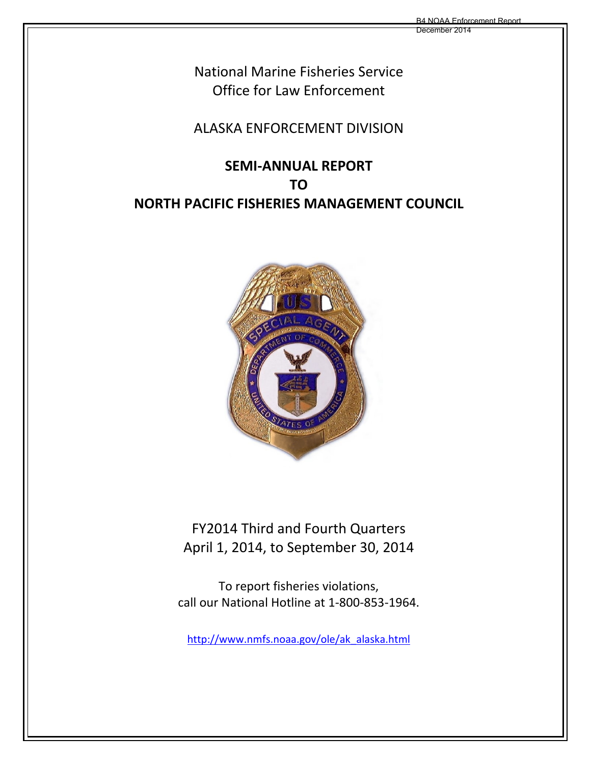December 2014

National Marine Fisheries Service Office for Law Enforcement

# ALASKA ENFORCEMENT DIVISION

# **SEMI‐ANNUAL REPORT TO NORTH PACIFIC FISHERIES MANAGEMENT COUNCIL**



FY2014 Third and Fourth Quarters April 1, 2014, to September 30, 2014

To report fisheries violations, call our National Hotline at 1‐800‐853‐1964.

http://www.nmfs.noaa.gov/ole/ak\_alaska.html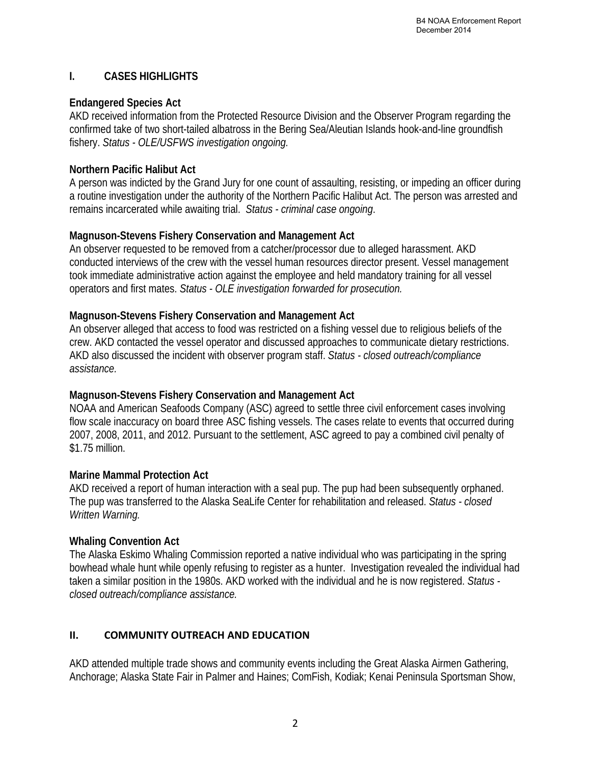#### **I. CASES HIGHLIGHTS**

#### **Endangered Species Act**

AKD received information from the Protected Resource Division and the Observer Program regarding the confirmed take of two short-tailed albatross in the Bering Sea/Aleutian Islands hook-and-line groundfish fishery. *Status - OLE/USFWS investigation ongoing.*

#### **Northern Pacific Halibut Act**

A person was indicted by the Grand Jury for one count of assaulting, resisting, or impeding an officer during a routine investigation under the authority of the Northern Pacific Halibut Act. The person was arrested and remains incarcerated while awaiting trial. *Status - criminal case ongoing*.

# **Magnuson-Stevens Fishery Conservation and Management Act**

An observer requested to be removed from a catcher/processor due to alleged harassment. AKD conducted interviews of the crew with the vessel human resources director present. Vessel management took immediate administrative action against the employee and held mandatory training for all vessel operators and first mates. *Status - OLE investigation forwarded for prosecution.*

# **Magnuson-Stevens Fishery Conservation and Management Act**

An observer alleged that access to food was restricted on a fishing vessel due to religious beliefs of the crew. AKD contacted the vessel operator and discussed approaches to communicate dietary restrictions. AKD also discussed the incident with observer program staff. *Status - closed outreach/compliance assistance.* 

# **Magnuson-Stevens Fishery Conservation and Management Act**

NOAA and American Seafoods Company (ASC) agreed to settle three civil enforcement cases involving flow scale inaccuracy on board three ASC fishing vessels. The cases relate to events that occurred during 2007, 2008, 2011, and 2012. Pursuant to the settlement, ASC agreed to pay a combined civil penalty of \$1.75 million.

# **Marine Mammal Protection Act**

AKD received a report of human interaction with a seal pup. The pup had been subsequently orphaned. The pup was transferred to the Alaska SeaLife Center for rehabilitation and released. *Status - closed Written Warning.* 

# **Whaling Convention Act**

The Alaska Eskimo Whaling Commission reported a native individual who was participating in the spring bowhead whale hunt while openly refusing to register as a hunter. Investigation revealed the individual had taken a similar position in the 1980s. AKD worked with the individual and he is now registered. *Status closed outreach/compliance assistance.* 

# **II. COMMUNITY OUTREACH AND EDUCATION**

AKD attended multiple trade shows and community events including the Great Alaska Airmen Gathering, Anchorage; Alaska State Fair in Palmer and Haines; ComFish, Kodiak; Kenai Peninsula Sportsman Show,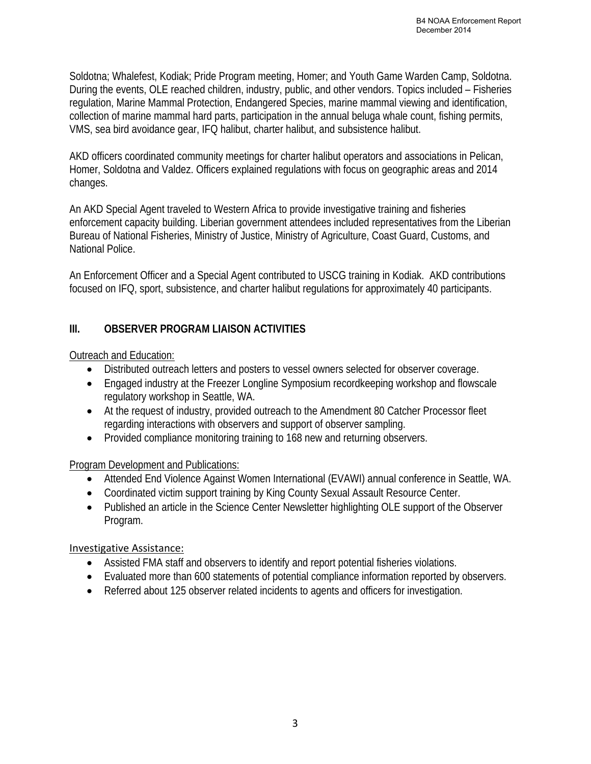Soldotna; Whalefest, Kodiak; Pride Program meeting, Homer; and Youth Game Warden Camp, Soldotna. During the events, OLE reached children, industry, public, and other vendors. Topics included – Fisheries regulation, Marine Mammal Protection, Endangered Species, marine mammal viewing and identification, collection of marine mammal hard parts, participation in the annual beluga whale count, fishing permits, VMS, sea bird avoidance gear, IFQ halibut, charter halibut, and subsistence halibut.

AKD officers coordinated community meetings for charter halibut operators and associations in Pelican, Homer, Soldotna and Valdez. Officers explained regulations with focus on geographic areas and 2014 changes.

An AKD Special Agent traveled to Western Africa to provide investigative training and fisheries enforcement capacity building. Liberian government attendees included representatives from the Liberian Bureau of National Fisheries, Ministry of Justice, Ministry of Agriculture, Coast Guard, Customs, and National Police.

An Enforcement Officer and a Special Agent contributed to USCG training in Kodiak. AKD contributions focused on IFQ, sport, subsistence, and charter halibut regulations for approximately 40 participants.

#### **III. OBSERVER PROGRAM LIAISON ACTIVITIES**

Outreach and Education:

- Distributed outreach letters and posters to vessel owners selected for observer coverage.
- Engaged industry at the Freezer Longline Symposium recordkeeping workshop and flowscale regulatory workshop in Seattle, WA.
- At the request of industry, provided outreach to the Amendment 80 Catcher Processor fleet regarding interactions with observers and support of observer sampling.
- Provided compliance monitoring training to 168 new and returning observers.

Program Development and Publications:

- Attended End Violence Against Women International (EVAWI) annual conference in Seattle, WA.
- Coordinated victim support training by King County Sexual Assault Resource Center.
- Published an article in the Science Center Newsletter highlighting OLE support of the Observer Program.

#### Investigative Assistance:

- Assisted FMA staff and observers to identify and report potential fisheries violations.
- Evaluated more than 600 statements of potential compliance information reported by observers.
- Referred about 125 observer related incidents to agents and officers for investigation.